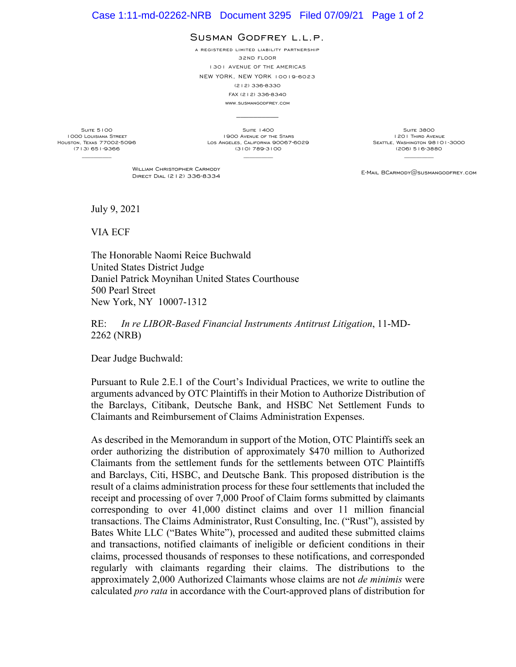## Case 1:11-md-02262-NRB Document 3295 Filed 07/09/21 Page 1 of 2

## SUSMAN GODFREY L.L.P.

a registered limited liability partnership

32ND FLOOR 1301 AVENUE OF THE AMERICAS

NEW YORK, NEW YORK 10019-6023

(212) 336-8330

FAX (212) 336-8340

www.susmangodfrey.com  $\mathcal{L}_\text{max}$ 

Suite 5100 1000 Louisiana Street Houston, Texas 77002-5096 (713) 651-9366  $\frac{1}{2}$ 

**SUITE 1400** 1900 Avenue of the Stars Los Angeles, California 90067-6029 (310) 789-3100  $\frac{1}{2}$ 

SUITE 3800 1201 Third Avenue SEATTLE, WASHINGTON 98101-3000 (206) 516-3880

WILLIAM CHRISTOPHER CARMODY<br>DIRECT DIAL (212) 336-8334

E-MAIL BCARMODY@SUSMANGODFREY.COM

July 9, 2021

VIA ECF

The Honorable Naomi Reice Buchwald United States District Judge Daniel Patrick Moynihan United States Courthouse 500 Pearl Street New York, NY 10007-1312

RE: *In re LIBOR-Based Financial Instruments Antitrust Litigation*, 11-MD-2262 (NRB)

Dear Judge Buchwald:

Pursuant to Rule 2.E.1 of the Court's Individual Practices, we write to outline the arguments advanced by OTC Plaintiffs in their Motion to Authorize Distribution of the Barclays, Citibank, Deutsche Bank, and HSBC Net Settlement Funds to Claimants and Reimbursement of Claims Administration Expenses.

As described in the Memorandum in support of the Motion, OTC Plaintiffs seek an order authorizing the distribution of approximately \$470 million to Authorized Claimants from the settlement funds for the settlements between OTC Plaintiffs and Barclays, Citi, HSBC, and Deutsche Bank. This proposed distribution is the result of a claims administration process for these four settlements that included the receipt and processing of over 7,000 Proof of Claim forms submitted by claimants corresponding to over 41,000 distinct claims and over 11 million financial transactions. The Claims Administrator, Rust Consulting, Inc. ("Rust"), assisted by Bates White LLC ("Bates White"), processed and audited these submitted claims and transactions, notified claimants of ineligible or deficient conditions in their claims, processed thousands of responses to these notifications, and corresponded regularly with claimants regarding their claims. The distributions to the approximately 2,000 Authorized Claimants whose claims are not *de minimis* were calculated *pro rata* in accordance with the Court-approved plans of distribution for